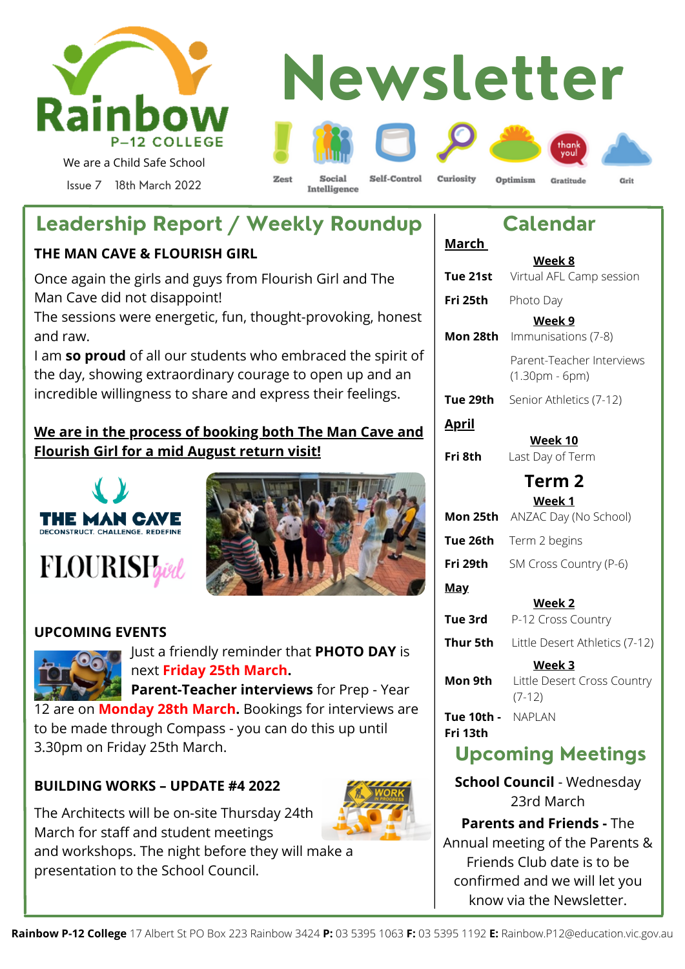

#### **Newsletter** Self-Control Curiosity  $Z$ oef Social Optimism Gratitude Cirit Intelligence

**March**

**Fri 25th** Photo Day

# **Leadership Report / Weekly Roundup**

#### **THE MAN CAVE & FLOURISH GIRL**

Once again the girls and guys from Flourish Girl and The Man Cave did not disappoint!

The sessions were energetic, fun, thought-provoking, honest and raw.

I am **so proud** of all our students who embraced the spirit of the day, showing extraordinary courage to open up and an incredible willingness to share and express their feelings.

#### **We are in the process of booking both The Man Cave and Flourish Girl for a mid August return visit!**





#### **UPCOMING EVENTS**



Just a friendly reminder that **PHOTO DAY** is next **Friday 25th March.** 

 **Parent-Teacher interviews** for Prep - Year 12 are on **Monday 28th March.** Bookings for interviews are to be made through Compass - you can do this up until

3.30pm on Friday 25th March.

#### **BUILDING WORKS – UPDATE #4 2022**

The Architects will be on-site Thursday 24th March for staff and student meetings and workshops. The night before they will make a presentation to the School Council.

#### Parent-Teacher Interviews (1.30pm - 6pm) **Tue 29th** Senior Athletics (7-12) **April Week 10 Fri 8th** Last Day of Term **Term 2 Week 1 Mon 25th** ANZAC Day (No School) **Tue 26th** Term 2 begins **Fri 29th** SM Cross Country (P-6) **May Week 2 Tue 3rd** P-12 Cross Country **Thur 5th** Little Desert Athletics (7-12) **Week 3 Mon 9th** Little Desert Cross Country (7-12) **Tue 10th -** NAPLAN **Fri 13th Upcoming Meetings**

**Calendar**

**Week 8 Tue 21st** Virtual AFL Camp session

**Week 9**

**Mon 28th** Immunisations (7-8)

**School Council** - Wednesday 23rd March

**Parents and Friends -** The Annual meeting of the Parents & Friends Club date is to be confirmed and we will let you know via the Newsletter.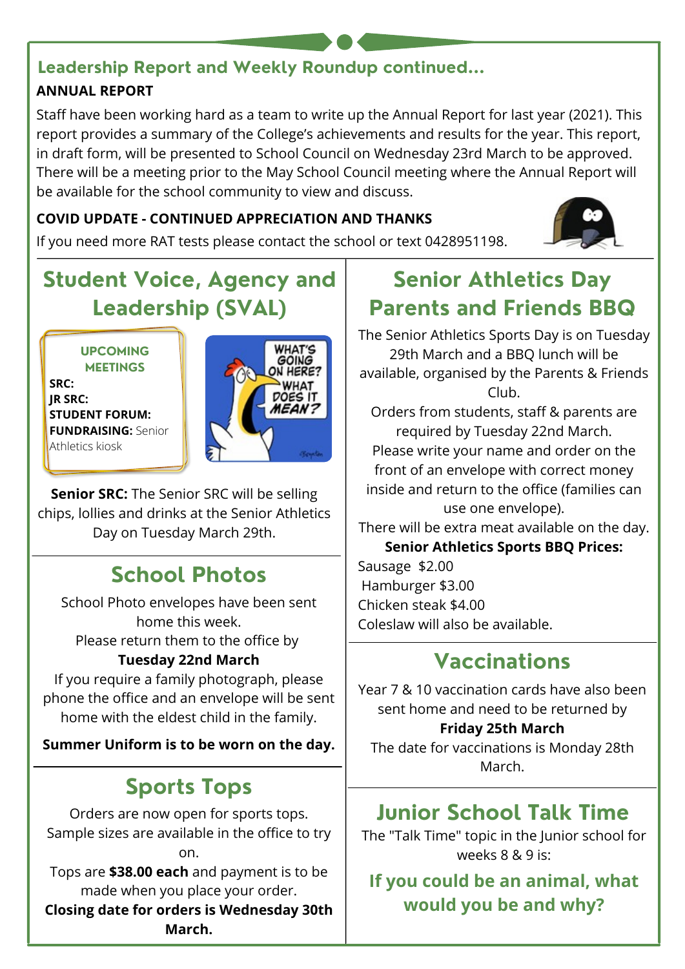#### **ANNUAL REPORT Leadership Report and Weekly Roundup continued...**

Staff have been working hard as a team to write up the Annual Report for last year (2021). This report provides a summary of the College's achievements and results for the year. This report, in draft form, will be presented to School Council on Wednesday 23rd March to be approved. There will be a meeting prior to the May School Council meeting where the Annual Report will be available for the school community to view and discuss.

#### **COVID UPDATE - CONTINUED APPRECIATION AND THANKS**

If you need more RAT tests please contact the school or text 0428951198.



# **Student Voice, Agency and Leadership (SVAL)**

**UPCOMING MEETINGS**

**SRC: JR SRC: STUDENT FORUM: FUNDRAISING:** Senior Athletics kiosk



**Senior SRC:** The Senior SRC will be selling chips, lollies and drinks at the Senior Athletics Day on Tuesday March 29th.

# **School Photos**

School Photo envelopes have been sent home this week. Please return them to the office by **Tuesday 22nd March**

If you require a family photograph, please phone the office and an envelope will be sent home with the eldest child in the family.

**Summer Uniform is to be worn on the day.**

# **Sports Tops**

Orders are now open for sports tops. Sample sizes are available in the office to try on.

Tops are **\$38.00 each** and payment is to be made when you place your order.

**Closing date for orders is Wednesday 30th March.**

# **Senior Athletics Day Parents and Friends BBQ**

The Senior Athletics Sports Day is on Tuesday 29th March and a BBQ lunch will be available, organised by the Parents & Friends Club.

Orders from students, staff & parents are required by Tuesday 22nd March. Please write your name and order on the front of an envelope with correct money inside and return to the office (families can use one envelope).

There will be extra meat available on the day.

**Senior Athletics Sports BBQ Prices:**

Sausage \$2.00 Hamburger \$3.00 Chicken steak \$4.00 Coleslaw will also be available.

# **Vaccinations**

Year 7 & 10 vaccination cards have also been sent home and need to be returned by **Friday 25th March**

The date for vaccinations is Monday 28th March.

# **Junior School Talk Time**

The "Talk Time" topic in the Junior school for weeks 8 & 9 is:

**If you could be an animal, what would you be and why?**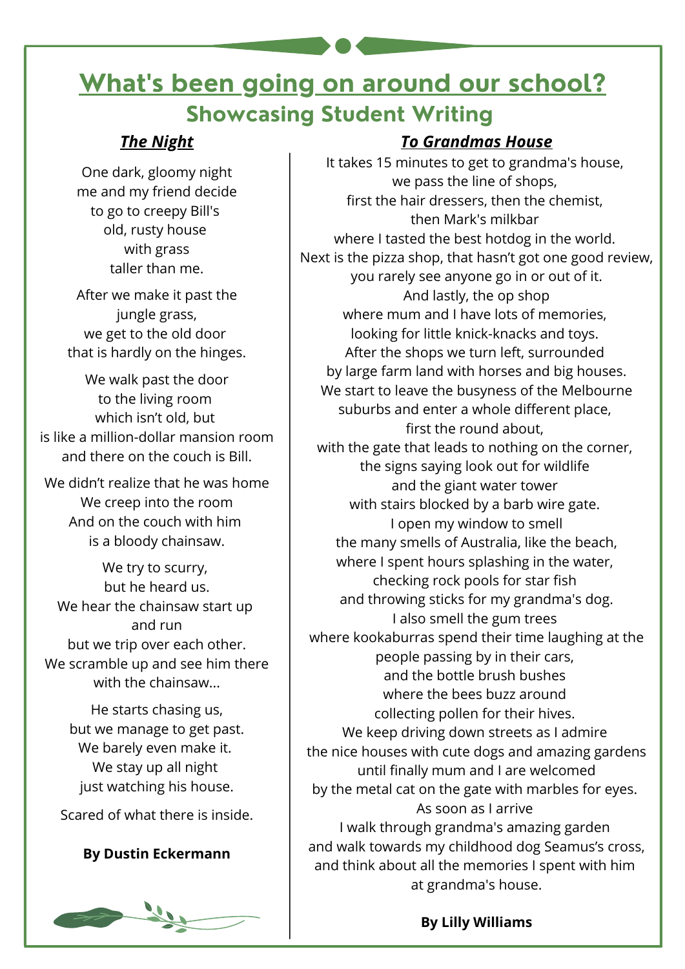# **What's been going on around our school? Showcasing Student Writing**

#### *The Night*

One dark, gloomy night me and my friend decide to go to creepy Bill's old, rusty house with grass taller than me.

After we make it past the jungle grass, we get to the old door that is hardly on the hinges.

We walk past the door to the living room which isn't old, but is like a million-dollar mansion room and there on the couch is Bill.

We didn't realize that he was home We creep into the room And on the couch with him is a bloody chainsaw.

We try to scurry, but he heard us. We hear the chainsaw start up and run but we trip over each other. We scramble up and see him there with the chainsaw...

> He starts chasing us, but we manage to get past. We barely even make it. We stay up all night just watching his house.

Scared of what there is inside.

#### **By Dustin Eckermann**



#### *To Grandmas House*

It takes 15 minutes to get to grandma's house, we pass the line of shops, first the hair dressers, then the chemist, then Mark's milkbar where I tasted the best hotdog in the world. Next is the pizza shop, that hasn't got one good review, you rarely see anyone go in or out of it. And lastly, the op shop where mum and I have lots of memories. looking for little knick-knacks and toys. After the shops we turn left, surrounded by large farm land with horses and big houses. We start to leave the busyness of the Melbourne suburbs and enter a whole different place, first the round about, with the gate that leads to nothing on the corner, the signs saying look out for wildlife and the giant water tower with stairs blocked by a barb wire gate. I open my window to smell the many smells of Australia, like the beach, where I spent hours splashing in the water, checking rock pools for star fish and throwing sticks for my grandma's dog. I also smell the gum trees where kookaburras spend their time laughing at the people passing by in their cars, and the bottle brush bushes where the bees buzz around collecting pollen for their hives. We keep driving down streets as I admire the nice houses with cute dogs and amazing gardens until finally mum and I are welcomed by the metal cat on the gate with marbles for eyes. As soon as I arrive I walk through grandma's amazing garden and walk towards my childhood dog Seamus's cross, and think about all the memories I spent with him at grandma's house.

**By Lilly Williams**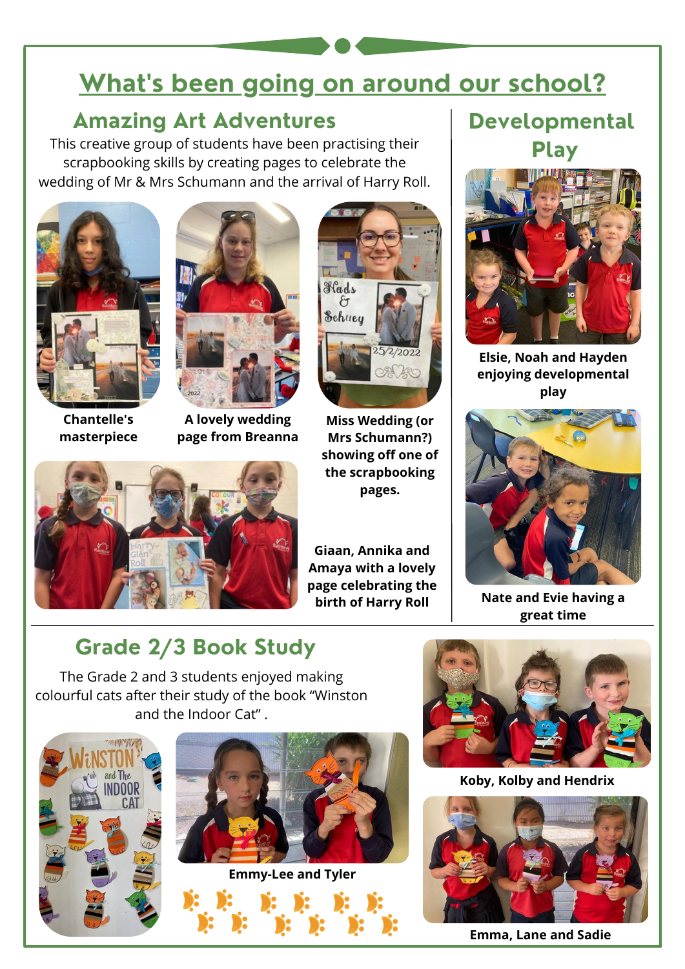# **What's been going on around our school?**

#### **Amazing Art Adventures Developmental**

This creative group of students have been practising their scrapbooking skills by creating pages to celebrate the wedding of Mr & Mrs Schumann and the arrival of Harry Roll.



**Chantelle's masterpiece**



**A lovely wedding page from Breanna**



**Miss Wedding (or Mrs Schumann?) showing off one of the scrapbooking pages.**



**Giaan, Annika and Amaya with a lovely page celebrating the birth of Harry Roll**

# **Play**



**Elsie, Noah and Hayden enjoying developmental play**



**Nate and Evie having a great time**

# **Grade 2/3 Book Study**

The Grade 2 and 3 students enjoyed making colourful cats after their study of the book "Winston and the Indoor Cat" .







**Koby, Kolby and Hendrix**



**Emma, Lane and Sadie**